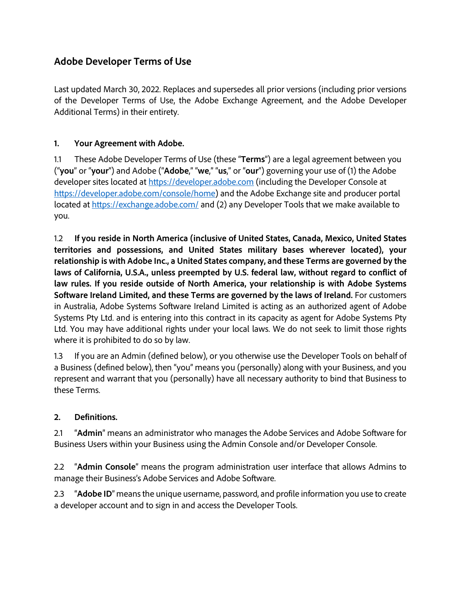# **Adobe Developer Terms of Use**

Last updated March 30, 2022. Replaces and supersedes all prior versions (including prior versions of the Developer Terms of Use, the Adobe Exchange Agreement, and the Adobe Developer Additional Terms) in their entirety.

### **1. Your Agreement with Adobe.**

1.1 These Adobe Developer Terms of Use (these "**Terms**") are a legal agreement between you ("**you**" or "**your**") and Adobe ("**Adobe**," "**we**," "**us**," or "**our**") governing your use of (1) the Adobe developer sites located at [https://developer.adobe.com](https://developer.adobe.com/) (including the Developer Console at [https://developer.adobe.com/console/home\)](https://developer.adobe.com/console/home) and the Adobe Exchange site and producer portal located at <https://exchange.adobe.com/> and (2) any Developer Tools that we make available to you.

1.2 **If you reside in North America (inclusive of United States, Canada, Mexico, United States territories and possessions, and United States military bases wherever located), your relationship is with Adobe Inc., a United States company, and these Terms are governed by the laws of California, U.S.A., unless preempted by U.S. federal law, without regard to conflict of law rules. If you reside outside of North America, your relationship is with Adobe Systems Software Ireland Limited, and these Terms are governed by the laws of Ireland.** For customers in Australia, Adobe Systems Software Ireland Limited is acting as an authorized agent of Adobe Systems Pty Ltd. and is entering into this contract in its capacity as agent for Adobe Systems Pty Ltd. You may have additional rights under your local laws. We do not seek to limit those rights where it is prohibited to do so by law.

1.3 If you are an Admin (defined below), or you otherwise use the Developer Tools on behalf of a Business (defined below), then "you" means you (personally) along with your Business, and you represent and warrant that you (personally) have all necessary authority to bind that Business to these Terms.

### **2. Definitions.**

2.1 "**Admin**" means an administrator who manages the Adobe Services and Adobe Software for Business Users within your Business using the Admin Console and/or Developer Console.

2.2 "**Admin Console**" means the program administration user interface that allows Admins to manage their Business's Adobe Services and Adobe Software.

2.3 "**Adobe ID**" means the unique username, password, and profile information you use to create a developer account and to sign in and access the Developer Tools.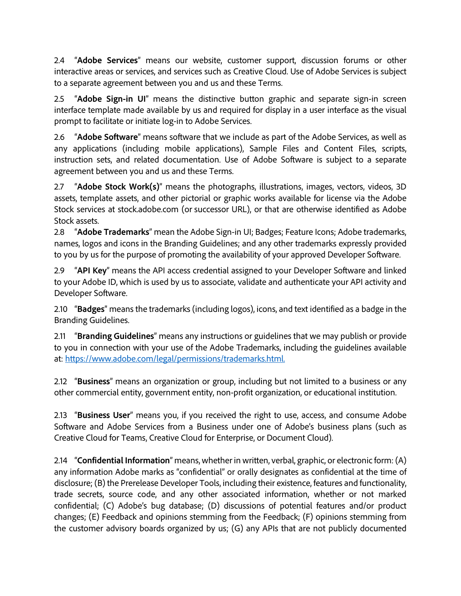2.4 "**Adobe Services**" means our website, customer support, discussion forums or other interactive areas or services, and services such as Creative Cloud. Use of Adobe Services is subject to a separate agreement between you and us and these Terms.

2.5 "**Adobe Sign-in UI**" means the distinctive button graphic and separate sign-in screen interface template made available by us and required for display in a user interface as the visual prompt to facilitate or initiate log-in to Adobe Services.

2.6 "**Adobe Software**" means software that we include as part of the Adobe Services, as well as any applications (including mobile applications), Sample Files and Content Files, scripts, instruction sets, and related documentation. Use of Adobe Software is subject to a separate agreement between you and us and these Terms.

2.7 "**Adobe Stock Work(s)**" means the photographs, illustrations, images, vectors, videos, 3D assets, template assets, and other pictorial or graphic works available for license via the Adobe Stock services at stock.adobe.com (or successor URL), or that are otherwise identified as Adobe Stock assets.

2.8 "**Adobe Trademarks**" mean the Adobe Sign-in UI; Badges; Feature Icons; Adobe trademarks, names, logos and icons in the Branding Guidelines; and any other trademarks expressly provided to you by us for the purpose of promoting the availability of your approved Developer Software.

2.9 "**API Key**" means the API access credential assigned to your Developer Software and linked to your Adobe ID, which is used by us to associate, validate and authenticate your API activity and Developer Software.

2.10 "**Badges**" means the trademarks (including logos), icons, and text identified as a badge in the Branding Guidelines.

2.11 "**Branding Guidelines**" means any instructions or guidelines that we may publish or provide to you in connection with your use of the Adobe Trademarks, including the guidelines available at: [https://www.adobe.com/legal/permissions/trademarks.html.](https://www.adobe.com/legal/permissions/trademarks.html)

2.12 "**Business**" means an organization or group, including but not limited to a business or any other commercial entity, government entity, non-profit organization, or educational institution.

2.13 "**Business User**" means you, if you received the right to use, access, and consume Adobe Software and Adobe Services from a Business under one of Adobe's business plans (such as Creative Cloud for Teams, Creative Cloud for Enterprise, or Document Cloud).

2.14 "**Confidential Information**" means, whether in written, verbal, graphic, or electronic form: (A) any information Adobe marks as "confidential" or orally designates as confidential at the time of disclosure; (B) the Prerelease Developer Tools, including their existence, features and functionality, trade secrets, source code, and any other associated information, whether or not marked confidential; (C) Adobe's bug database; (D) discussions of potential features and/or product changes; (E) Feedback and opinions stemming from the Feedback; (F) opinions stemming from the customer advisory boards organized by us; (G) any APIs that are not publicly documented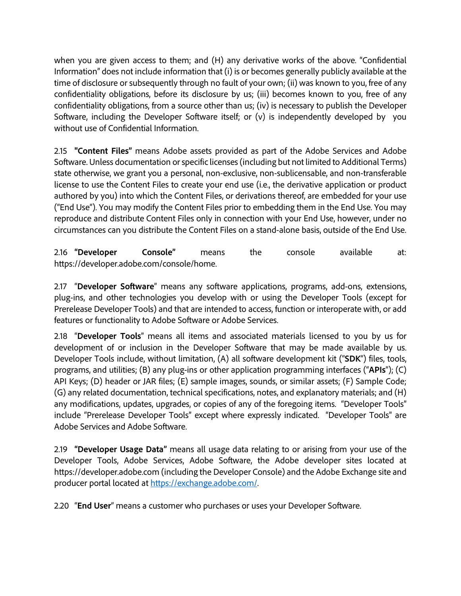when you are given access to them; and (H) any derivative works of the above. "Confidential Information" does not include information that (i) is or becomes generally publicly available at the time of disclosure or subsequently through no fault of your own; (ii) was known to you, free of any confidentiality obligations, before its disclosure by us; (iii) becomes known to you, free of any confidentiality obligations, from a source other than us; (iv) is necessary to publish the Developer Software, including the Developer Software itself; or (v) is independently developed by you without use of Confidential Information.

2.15 **"Content Files"** means Adobe assets provided as part of the Adobe Services and Adobe Software. Unless documentation or specific licenses (including but not limited to Additional Terms) state otherwise, we grant you a personal, non-exclusive, non-sublicensable, and non-transferable license to use the Content Files to create your end use (i.e., the derivative application or product authored by you) into which the Content Files, or derivations thereof, are embedded for your use ("End Use"). You may modify the Content Files prior to embedding them in the End Use. You may reproduce and distribute Content Files only in connection with your End Use, however, under no circumstances can you distribute the Content Files on a stand-alone basis, outside of the End Use.

2.16 **"Developer Console"** means the console available at: https://developer.adobe.com/console/home.

2.17 "**Developer Software**" means any software applications, programs, add-ons, extensions, plug-ins, and other technologies you develop with or using the Developer Tools (except for Prerelease Developer Tools) and that are intended to access, function or interoperate with, or add features or functionality to Adobe Software or Adobe Services.

2.18 "**Developer Tools**" means all items and associated materials licensed to you by us for development of or inclusion in the Developer Software that may be made available by us. Developer Tools include, without limitation, (A) all software development kit ("**SDK**") files, tools, programs, and utilities; (B) any plug-ins or other application programming interfaces ("**APIs**"); (C) API Keys; (D) header or JAR files; (E) sample images, sounds, or similar assets; (F) Sample Code; (G) any related documentation, technical specifications, notes, and explanatory materials; and (H) any modifications, updates, upgrades, or copies of any of the foregoing items. "Developer Tools" include "Prerelease Developer Tools" except where expressly indicated. "Developer Tools" are Adobe Services and Adobe Software.

2.19 **"Developer Usage Data"** means all usage data relating to or arising from your use of the Developer Tools, Adobe Services, Adobe Software, the Adobe developer sites located at https://developer.adobe.com (including the Developer Console) and the Adobe Exchange site and producer portal located at [https://exchange.adobe.com/.](https://exchange.adobe.com/) 

2.20 "**End User**" means a customer who purchases or uses your Developer Software.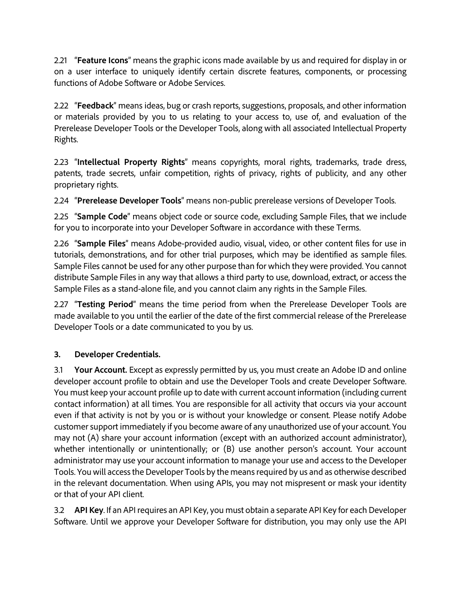2.21 "**Feature Icons**" means the graphic icons made available by us and required for display in or on a user interface to uniquely identify certain discrete features, components, or processing functions of Adobe Software or Adobe Services.

2.22 "**Feedback**" means ideas, bug or crash reports, suggestions, proposals, and other information or materials provided by you to us relating to your access to, use of, and evaluation of the Prerelease Developer Tools or the Developer Tools, along with all associated Intellectual Property Rights.

2.23 "**Intellectual Property Rights**" means copyrights, moral rights, trademarks, trade dress, patents, trade secrets, unfair competition, rights of privacy, rights of publicity, and any other proprietary rights.

2.24 "**Prerelease Developer Tools**" means non-public prerelease versions of Developer Tools.

2.25 "**Sample Code**" means object code or source code, excluding Sample Files, that we include for you to incorporate into your Developer Software in accordance with these Terms.

2.26 "**Sample Files**" means Adobe-provided audio, visual, video, or other content files for use in tutorials, demonstrations, and for other trial purposes, which may be identified as sample files. Sample Files cannot be used for any other purpose than for which they were provided. You cannot distribute Sample Files in any way that allows a third party to use, download, extract, or access the Sample Files as a stand-alone file, and you cannot claim any rights in the Sample Files.

2.27 "**Testing Period**" means the time period from when the Prerelease Developer Tools are made available to you until the earlier of the date of the first commercial release of the Prerelease Developer Tools or a date communicated to you by us.

## **3. Developer Credentials.**

3.1 **Your Account.** Except as expressly permitted by us, you must create an Adobe ID and online developer account profile to obtain and use the Developer Tools and create Developer Software. You must keep your account profile up to date with current account information (including current contact information) at all times. You are responsible for all activity that occurs via your account even if that activity is not by you or is without your knowledge or consent. Please notify Adobe customer support immediately if you become aware of any unauthorized use of your account. You may not (A) share your account information (except with an authorized account administrator), whether intentionally or unintentionally; or (B) use another person's account. Your account administrator may use your account information to manage your use and access to the Developer Tools. You will access the Developer Tools by the means required by us and as otherwise described in the relevant documentation. When using APIs, you may not mispresent or mask your identity or that of your API client.

3.2 **API Key**. If an API requires an API Key, you must obtain a separate API Key for each Developer Software. Until we approve your Developer Software for distribution, you may only use the API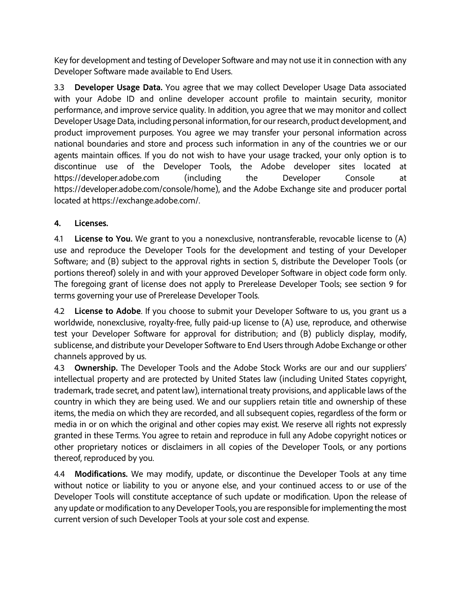Key for development and testing of Developer Software and may not use it in connection with any Developer Software made available to End Users.

3.3 **Developer Usage Data.** You agree that we may collect Developer Usage Data associated with your Adobe ID and online developer account profile to maintain security, monitor performance, and improve service quality. In addition, you agree that we may monitor and collect Developer Usage Data, including personal information, for our research, product development, and product improvement purposes. You agree we may transfer your personal information across national boundaries and store and process such information in any of the countries we or our agents maintain offices. If you do not wish to have your usage tracked, your only option is to discontinue use of the Developer Tools, the Adobe developer sites located at https://developer.adobe.com (including the Developer Console at https://developer.adobe.com/console/home), and the Adobe Exchange site and producer portal located at https://exchange.adobe.com/.

## **4. Licenses.**

4.1 **License to You.** We grant to you a nonexclusive, nontransferable, revocable license to (A) use and reproduce the Developer Tools for the development and testing of your Developer Software; and (B) subject to the approval rights in section 5, distribute the Developer Tools (or portions thereof) solely in and with your approved Developer Software in object code form only. The foregoing grant of license does not apply to Prerelease Developer Tools; see section 9 for terms governing your use of Prerelease Developer Tools.

4.2 **License to Adobe**. If you choose to submit your Developer Software to us, you grant us a worldwide, nonexclusive, royalty-free, fully paid-up license to (A) use, reproduce, and otherwise test your Developer Software for approval for distribution; and (B) publicly display, modify, sublicense, and distribute your Developer Software to End Users through Adobe Exchange or other channels approved by us.

4.3 **Ownership.** The Developer Tools and the Adobe Stock Works are our and our suppliers' intellectual property and are protected by United States law (including United States copyright, trademark, trade secret, and patent law), international treaty provisions, and applicable laws of the country in which they are being used. We and our suppliers retain title and ownership of these items, the media on which they are recorded, and all subsequent copies, regardless of the form or media in or on which the original and other copies may exist. We reserve all rights not expressly granted in these Terms. You agree to retain and reproduce in full any Adobe copyright notices or other proprietary notices or disclaimers in all copies of the Developer Tools, or any portions thereof, reproduced by you.

4.4 **Modifications.** We may modify, update, or discontinue the Developer Tools at any time without notice or liability to you or anyone else, and your continued access to or use of the Developer Tools will constitute acceptance of such update or modification. Upon the release of any update or modification to any Developer Tools, you are responsible for implementing the most current version of such Developer Tools at your sole cost and expense.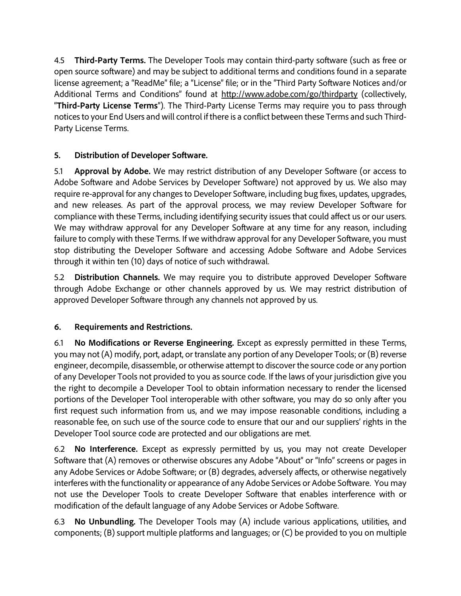4.5 **Third-Party Terms.** The Developer Tools may contain third-party software (such as free or open source software) and may be subject to additional terms and conditions found in a separate license agreement; a "ReadMe" file; a "License" file; or in the "Third Party Software Notices and/or Additional Terms and Conditions" found at <http://www.adobe.com/go/thirdparty> (collectively, "**Third-Party License Terms**"). The Third-Party License Terms may require you to pass through notices to your End Users and will control if there is a conflict between these Terms and such Third-Party License Terms.

## **5. Distribution of Developer Software.**

5.1 **Approval by Adobe.** We may restrict distribution of any Developer Software (or access to Adobe Software and Adobe Services by Developer Software) not approved by us. We also may require re-approval for any changes to Developer Software, including bug fixes, updates, upgrades, and new releases. As part of the approval process, we may review Developer Software for compliance with these Terms, including identifying security issues that could affect us or our users. We may withdraw approval for any Developer Software at any time for any reason, including failure to comply with these Terms. If we withdraw approval for any Developer Software, you must stop distributing the Developer Software and accessing Adobe Software and Adobe Services through it within ten (10) days of notice of such withdrawal.

5.2 **Distribution Channels.** We may require you to distribute approved Developer Software through Adobe Exchange or other channels approved by us. We may restrict distribution of approved Developer Software through any channels not approved by us.

## **6. Requirements and Restrictions.**

6.1 **No Modifications or Reverse Engineering.** Except as expressly permitted in these Terms, you may not (A) modify, port, adapt, or translate any portion of any Developer Tools; or (B) reverse engineer, decompile, disassemble, or otherwise attempt to discover the source code or any portion of any Developer Tools not provided to you as source code. If the laws of your jurisdiction give you the right to decompile a Developer Tool to obtain information necessary to render the licensed portions of the Developer Tool interoperable with other software, you may do so only after you first request such information from us, and we may impose reasonable conditions, including a reasonable fee, on such use of the source code to ensure that our and our suppliers' rights in the Developer Tool source code are protected and our obligations are met.

6.2 **No Interference.** Except as expressly permitted by us, you may not create Developer Software that (A) removes or otherwise obscures any Adobe "About" or "Info" screens or pages in any Adobe Services or Adobe Software; or (B) degrades, adversely affects, or otherwise negatively interferes with the functionality or appearance of any Adobe Services or Adobe Software. You may not use the Developer Tools to create Developer Software that enables interference with or modification of the default language of any Adobe Services or Adobe Software.

6.3 **No Unbundling.** The Developer Tools may (A) include various applications, utilities, and components; (B) support multiple platforms and languages; or (C) be provided to you on multiple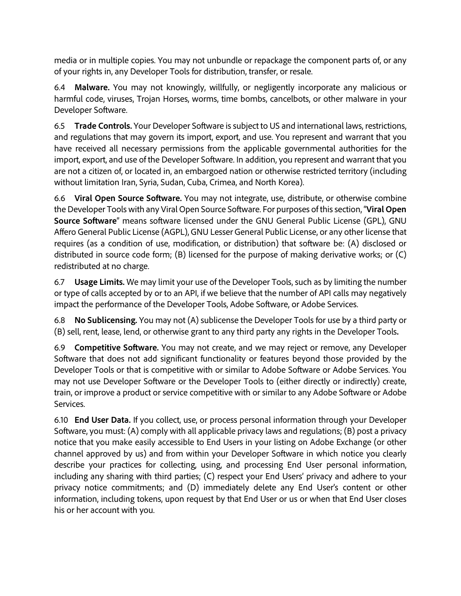media or in multiple copies. You may not unbundle or repackage the component parts of, or any of your rights in, any Developer Tools for distribution, transfer, or resale.

6.4 **Malware.** You may not knowingly, willfully, or negligently incorporate any malicious or harmful code, viruses, Trojan Horses, worms, time bombs, cancelbots, or other malware in your Developer Software.

6.5 **Trade Controls.** Your Developer Software is subject to US and international laws, restrictions, and regulations that may govern its import, export, and use. You represent and warrant that you have received all necessary permissions from the applicable governmental authorities for the import, export, and use of the Developer Software. In addition, you represent and warrant that you are not a citizen of, or located in, an embargoed nation or otherwise restricted territory (including without limitation Iran, Syria, Sudan, Cuba, Crimea, and North Korea).

6.6 **Viral Open Source Software.** You may not integrate, use, distribute, or otherwise combine the Developer Tools with any Viral Open Source Software. For purposes of this section, "**Viral Open Source Software**" means software licensed under the GNU General Public License (GPL), GNU Affero General Public License (AGPL), GNU Lesser General Public License, or any other license that requires (as a condition of use, modification, or distribution) that software be: (A) disclosed or distributed in source code form; (B) licensed for the purpose of making derivative works; or (C) redistributed at no charge.

6.7 **Usage Limits.** We may limit your use of the Developer Tools, such as by limiting the number or type of calls accepted by or to an API, if we believe that the number of API calls may negatively impact the performance of the Developer Tools, Adobe Software, or Adobe Services.

6.8 **No Sublicensing.** You may not (A) sublicense the Developer Tools for use by a third party or (B) sell, rent, lease, lend, or otherwise grant to any third party any rights in the Developer Tools**.**

6.9 **Competitive Software.** You may not create, and we may reject or remove, any Developer Software that does not add significant functionality or features beyond those provided by the Developer Tools or that is competitive with or similar to Adobe Software or Adobe Services. You may not use Developer Software or the Developer Tools to (either directly or indirectly) create, train, or improve a product or service competitive with or similar to any Adobe Software or Adobe Services.

6.10 **End User Data.** If you collect, use, or process personal information through your Developer Software, you must: (A) comply with all applicable privacy laws and regulations; (B) post a privacy notice that you make easily accessible to End Users in your listing on Adobe Exchange (or other channel approved by us) and from within your Developer Software in which notice you clearly describe your practices for collecting, using, and processing End User personal information, including any sharing with third parties; (C) respect your End Users' privacy and adhere to your privacy notice commitments; and (D) immediately delete any End User's content or other information, including tokens, upon request by that End User or us or when that End User closes his or her account with you.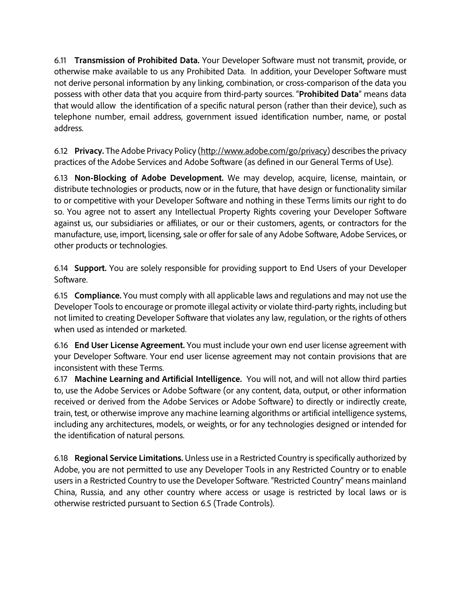6.11 **Transmission of Prohibited Data.** Your Developer Software must not transmit, provide, or otherwise make available to us any Prohibited Data. In addition, your Developer Software must not derive personal information by any linking, combination, or cross-comparison of the data you possess with other data that you acquire from third-party sources. "**Prohibited Data**" means data that would allow the identification of a specific natural person (rather than their device), such as telephone number, email address, government issued identification number, name, or postal address.

6.12 **Privacy.** The Adobe Privacy Policy [\(http://www.adobe.com/go/privacy\)](http://www.adobe.com/go/privacy) describes the privacy practices of the Adobe Services and Adobe Software (as defined in our General Terms of Use).

6.13 **Non-Blocking of Adobe Development.** We may develop, acquire, license, maintain, or distribute technologies or products, now or in the future, that have design or functionality similar to or competitive with your Developer Software and nothing in these Terms limits our right to do so. You agree not to assert any Intellectual Property Rights covering your Developer Software against us, our subsidiaries or affiliates, or our or their customers, agents, or contractors for the manufacture, use, import, licensing, sale or offer for sale of any Adobe Software, Adobe Services, or other products or technologies.

6.14 **Support.** You are solely responsible for providing support to End Users of your Developer Software.

6.15 **Compliance.** You must comply with all applicable laws and regulations and may not use the Developer Tools to encourage or promote illegal activity or violate third-party rights, including but not limited to creating Developer Software that violates any law, regulation, or the rights of others when used as intended or marketed.

6.16 **End User License Agreement.** You must include your own end user license agreement with your Developer Software. Your end user license agreement may not contain provisions that are inconsistent with these Terms.

6.17 **Machine Learning and Artificial Intelligence.** You will not, and will not allow third parties to, use the Adobe Services or Adobe Software (or any content, data, output, or other information received or derived from the Adobe Services or Adobe Software) to directly or indirectly create, train, test, or otherwise improve any machine learning algorithms or artificial intelligence systems, including any architectures, models, or weights, or for any technologies designed or intended for the identification of natural persons.

6.18 **Regional Service Limitations.** Unless use in a Restricted Country is specifically authorized by Adobe, you are not permitted to use any Developer Tools in any Restricted Country or to enable users in a Restricted Country to use the Developer Software. "Restricted Country" means mainland China, Russia, and any other country where access or usage is restricted by local laws or is otherwise restricted pursuant to Section 6.5 (Trade Controls).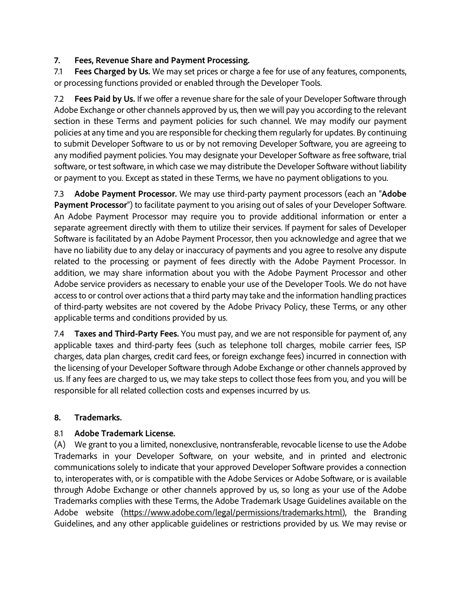## **7. Fees, Revenue Share and Payment Processing.**

7.1 **Fees Charged by Us.** We may set prices or charge a fee for use of any features, components, or processing functions provided or enabled through the Developer Tools.

7.2 **Fees Paid by Us.** If we offer a revenue share for the sale of your Developer Software through Adobe Exchange or other channels approved by us, then we will pay you according to the relevant section in these Terms and payment policies for such channel. We may modify our payment policies at any time and you are responsible for checking them regularly for updates. By continuing to submit Developer Software to us or by not removing Developer Software, you are agreeing to any modified payment policies. You may designate your Developer Software as free software, trial software, or test software, in which case we may distribute the Developer Software without liability or payment to you. Except as stated in these Terms, we have no payment obligations to you.

7.3 **Adobe Payment Processor.** We may use third-party payment processors (each an "**Adobe Payment Processor**") to facilitate payment to you arising out of sales of your Developer Software. An Adobe Payment Processor may require you to provide additional information or enter a separate agreement directly with them to utilize their services. If payment for sales of Developer Software is facilitated by an Adobe Payment Processor, then you acknowledge and agree that we have no liability due to any delay or inaccuracy of payments and you agree to resolve any dispute related to the processing or payment of fees directly with the Adobe Payment Processor. In addition, we may share information about you with the Adobe Payment Processor and other Adobe service providers as necessary to enable your use of the Developer Tools. We do not have access to or control over actions that a third party may take and the information handling practices of third-party websites are not covered by the Adobe Privacy Policy, these Terms, or any other applicable terms and conditions provided by us.

7.4 **Taxes and Third-Party Fees.** You must pay, and we are not responsible for payment of, any applicable taxes and third-party fees (such as telephone toll charges, mobile carrier fees, ISP charges, data plan charges, credit card fees, or foreign exchange fees) incurred in connection with the licensing of your Developer Software through Adobe Exchange or other channels approved by us. If any fees are charged to us, we may take steps to collect those fees from you, and you will be responsible for all related collection costs and expenses incurred by us.

### **8. Trademarks.**

### 8.1 **Adobe Trademark License.**

(A) We grant to you a limited, nonexclusive, nontransferable, revocable license to use the Adobe Trademarks in your Developer Software, on your website, and in printed and electronic communications solely to indicate that your approved Developer Software provides a connection to, interoperates with, or is compatible with the Adobe Services or Adobe Software, or is available through Adobe Exchange or other channels approved by us, so long as your use of the Adobe Trademarks complies with these Terms, the Adobe Trademark Usage Guidelines available on the Adobe website [\(https://www.adobe.com/legal/permissions/trademarks.html\)](https://www.adobe.com/legal/permissions/trademarks.html), the Branding Guidelines, and any other applicable guidelines or restrictions provided by us. We may revise or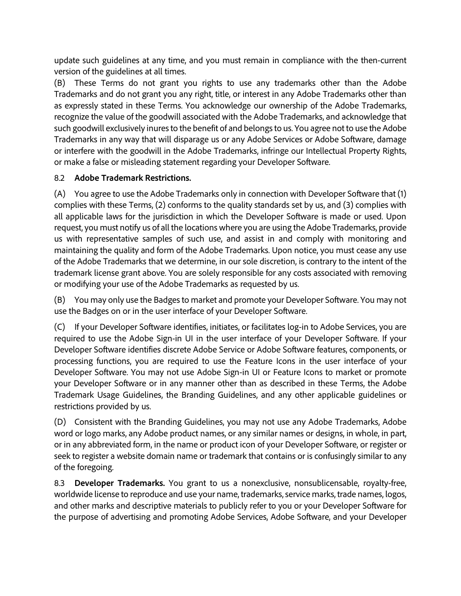update such guidelines at any time, and you must remain in compliance with the then-current version of the guidelines at all times.

(B) These Terms do not grant you rights to use any trademarks other than the Adobe Trademarks and do not grant you any right, title, or interest in any Adobe Trademarks other than as expressly stated in these Terms. You acknowledge our ownership of the Adobe Trademarks, recognize the value of the goodwill associated with the Adobe Trademarks, and acknowledge that such goodwill exclusively inures to the benefit of and belongs to us. You agree not to use the Adobe Trademarks in any way that will disparage us or any Adobe Services or Adobe Software, damage or interfere with the goodwill in the Adobe Trademarks, infringe our Intellectual Property Rights, or make a false or misleading statement regarding your Developer Software.

### 8.2 **Adobe Trademark Restrictions.**

(A) You agree to use the Adobe Trademarks only in connection with Developer Software that (1) complies with these Terms, (2) conforms to the quality standards set by us, and (3) complies with all applicable laws for the jurisdiction in which the Developer Software is made or used. Upon request, you must notify us of all the locations where you are using the Adobe Trademarks, provide us with representative samples of such use, and assist in and comply with monitoring and maintaining the quality and form of the Adobe Trademarks. Upon notice, you must cease any use of the Adobe Trademarks that we determine, in our sole discretion, is contrary to the intent of the trademark license grant above. You are solely responsible for any costs associated with removing or modifying your use of the Adobe Trademarks as requested by us.

(B) You may only use the Badges to market and promote your Developer Software. You may not use the Badges on or in the user interface of your Developer Software.

(C) If your Developer Software identifies, initiates, or facilitates log-in to Adobe Services, you are required to use the Adobe Sign-in UI in the user interface of your Developer Software. If your Developer Software identifies discrete Adobe Service or Adobe Software features, components, or processing functions, you are required to use the Feature Icons in the user interface of your Developer Software. You may not use Adobe Sign-in UI or Feature Icons to market or promote your Developer Software or in any manner other than as described in these Terms, the Adobe Trademark Usage Guidelines, the Branding Guidelines, and any other applicable guidelines or restrictions provided by us.

(D) Consistent with the Branding Guidelines, you may not use any Adobe Trademarks, Adobe word or logo marks, any Adobe product names, or any similar names or designs, in whole, in part, or in any abbreviated form, in the name or product icon of your Developer Software, or register or seek to register a website domain name or trademark that contains or is confusingly similar to any of the foregoing.

8.3 **Developer Trademarks.** You grant to us a nonexclusive, nonsublicensable, royalty-free, worldwide license to reproduce and use your name, trademarks, service marks, trade names, logos, and other marks and descriptive materials to publicly refer to you or your Developer Software for the purpose of advertising and promoting Adobe Services, Adobe Software, and your Developer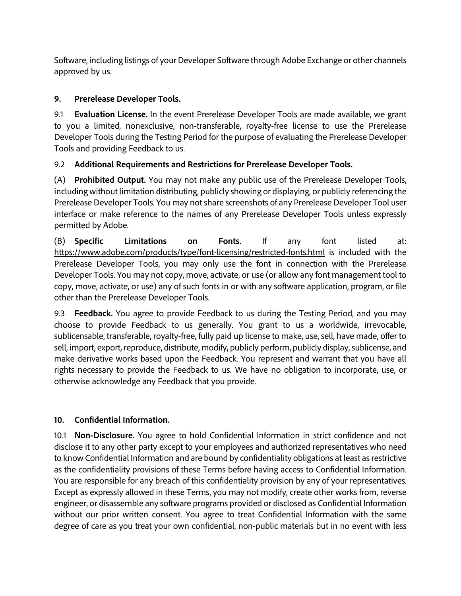Software, including listings of your Developer Software through Adobe Exchange or other channels approved by us.

## **9. Prerelease Developer Tools.**

9.1 **Evaluation License.** In the event Prerelease Developer Tools are made available, we grant to you a limited, nonexclusive, non-transferable, royalty-free license to use the Prerelease Developer Tools during the Testing Period for the purpose of evaluating the Prerelease Developer Tools and providing Feedback to us.

## 9.2 **Additional Requirements and Restrictions for Prerelease Developer Tools.**

(A) **Prohibited Output.** You may not make any public use of the Prerelease Developer Tools, including without limitation distributing, publicly showing or displaying, or publicly referencing the Prerelease Developer Tools. You may not share screenshots of any Prerelease Developer Tool user interface or make reference to the names of any Prerelease Developer Tools unless expressly permitted by Adobe.

(B) **Specific Limitations on Fonts.** If any font listed at: <https://www.adobe.com/products/type/font-licensing/restricted-fonts.html> is included with the Prerelease Developer Tools, you may only use the font in connection with the Prerelease Developer Tools. You may not copy, move, activate, or use (or allow any font management tool to copy, move, activate, or use) any of such fonts in or with any software application, program, or file other than the Prerelease Developer Tools.

9.3 **Feedback.** You agree to provide Feedback to us during the Testing Period, and you may choose to provide Feedback to us generally. You grant to us a worldwide, irrevocable, sublicensable, transferable, royalty-free, fully paid up license to make, use, sell, have made, offer to sell, import, export, reproduce, distribute, modify, publicly perform, publicly display, sublicense, and make derivative works based upon the Feedback. You represent and warrant that you have all rights necessary to provide the Feedback to us. We have no obligation to incorporate, use, or otherwise acknowledge any Feedback that you provide.

### **10. Confidential Information.**

10.1 **Non-Disclosure.** You agree to hold Confidential Information in strict confidence and not disclose it to any other party except to your employees and authorized representatives who need to know Confidential Information and are bound by confidentiality obligations at least as restrictive as the confidentiality provisions of these Terms before having access to Confidential Information. You are responsible for any breach of this confidentiality provision by any of your representatives. Except as expressly allowed in these Terms, you may not modify, create other works from, reverse engineer, or disassemble any software programs provided or disclosed as Confidential Information without our prior written consent. You agree to treat Confidential Information with the same degree of care as you treat your own confidential, non-public materials but in no event with less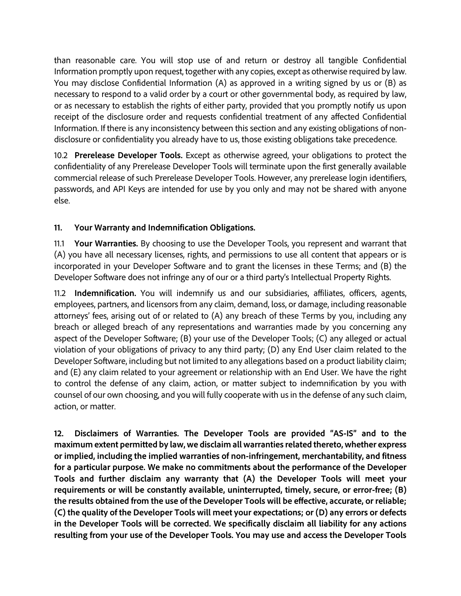than reasonable care. You will stop use of and return or destroy all tangible Confidential Information promptly upon request, together with any copies, except as otherwise required by law. You may disclose Confidential Information (A) as approved in a writing signed by us or (B) as necessary to respond to a valid order by a court or other governmental body, as required by law, or as necessary to establish the rights of either party, provided that you promptly notify us upon receipt of the disclosure order and requests confidential treatment of any affected Confidential Information. If there is any inconsistency between this section and any existing obligations of nondisclosure or confidentiality you already have to us, those existing obligations take precedence.

10.2 **Prerelease Developer Tools.** Except as otherwise agreed, your obligations to protect the confidentiality of any Prerelease Developer Tools will terminate upon the first generally available commercial release of such Prerelease Developer Tools. However, any prerelease login identifiers, passwords, and API Keys are intended for use by you only and may not be shared with anyone else.

## **11. Your Warranty and Indemnification Obligations.**

11.1 **Your Warranties.** By choosing to use the Developer Tools, you represent and warrant that (A) you have all necessary licenses, rights, and permissions to use all content that appears or is incorporated in your Developer Software and to grant the licenses in these Terms; and (B) the Developer Software does not infringe any of our or a third party's Intellectual Property Rights.

11.2 **Indemnification.** You will indemnify us and our subsidiaries, affiliates, officers, agents, employees, partners, and licensors from any claim, demand, loss, or damage, including reasonable attorneys' fees, arising out of or related to (A) any breach of these Terms by you, including any breach or alleged breach of any representations and warranties made by you concerning any aspect of the Developer Software; (B) your use of the Developer Tools; (C) any alleged or actual violation of your obligations of privacy to any third party; (D) any End User claim related to the Developer Software, including but not limited to any allegations based on a product liability claim; and (E) any claim related to your agreement or relationship with an End User. We have the right to control the defense of any claim, action, or matter subject to indemnification by you with counsel of our own choosing, and you will fully cooperate with us in the defense of any such claim, action, or matter.

**12. Disclaimers of Warranties. The Developer Tools are provided "AS-IS" and to the maximum extent permitted by law, we disclaim all warranties related thereto, whether express or implied, including the implied warranties of non-infringement, merchantability, and fitness for a particular purpose. We make no commitments about the performance of the Developer Tools and further disclaim any warranty that (A) the Developer Tools will meet your requirements or will be constantly available, uninterrupted, timely, secure, or error-free; (B) the results obtained from the use of the Developer Tools will be effective, accurate, or reliable; (C) the quality of the Developer Tools will meet your expectations; or (D) any errors or defects in the Developer Tools will be corrected. We specifically disclaim all liability for any actions resulting from your use of the Developer Tools. You may use and access the Developer Tools**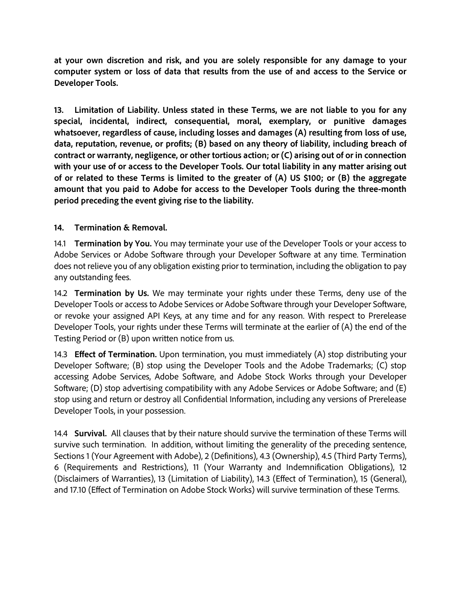**at your own discretion and risk, and you are solely responsible for any damage to your computer system or loss of data that results from the use of and access to the Service or Developer Tools.**

**13. Limitation of Liability. Unless stated in these Terms, we are not liable to you for any special, incidental, indirect, consequential, moral, exemplary, or punitive damages whatsoever, regardless of cause, including losses and damages (A) resulting from loss of use, data, reputation, revenue, or profits; (B) based on any theory of liability, including breach of contract or warranty, negligence, or other tortious action; or (C) arising out of or in connection with your use of or access to the Developer Tools. Our total liability in any matter arising out of or related to these Terms is limited to the greater of (A) US \$100; or (B) the aggregate amount that you paid to Adobe for access to the Developer Tools during the three-month period preceding the event giving rise to the liability.**

#### **14. Termination & Removal.**

14.1 **Termination by You.** You may terminate your use of the Developer Tools or your access to Adobe Services or Adobe Software through your Developer Software at any time. Termination does not relieve you of any obligation existing prior to termination, including the obligation to pay any outstanding fees.

14.2 **Termination by Us.** We may terminate your rights under these Terms, deny use of the Developer Tools or access to Adobe Services or Adobe Software through your Developer Software, or revoke your assigned API Keys, at any time and for any reason. With respect to Prerelease Developer Tools, your rights under these Terms will terminate at the earlier of (A) the end of the Testing Period or (B) upon written notice from us.

14.3 **Effect of Termination.** Upon termination, you must immediately (A) stop distributing your Developer Software; (B) stop using the Developer Tools and the Adobe Trademarks; (C) stop accessing Adobe Services, Adobe Software, and Adobe Stock Works through your Developer Software; (D) stop advertising compatibility with any Adobe Services or Adobe Software; and (E) stop using and return or destroy all Confidential Information, including any versions of Prerelease Developer Tools, in your possession.

14.4 **Survival.** All clauses that by their nature should survive the termination of these Terms will survive such termination. In addition, without limiting the generality of the preceding sentence, Sections 1 (Your Agreement with Adobe), 2 (Definitions), 4.3 (Ownership), 4.5 (Third Party Terms), 6 (Requirements and Restrictions), 11 (Your Warranty and Indemnification Obligations), 12 (Disclaimers of Warranties), 13 (Limitation of Liability), 14.3 (Effect of Termination), 15 (General), and 17.10 (Effect of Termination on Adobe Stock Works) will survive termination of these Terms.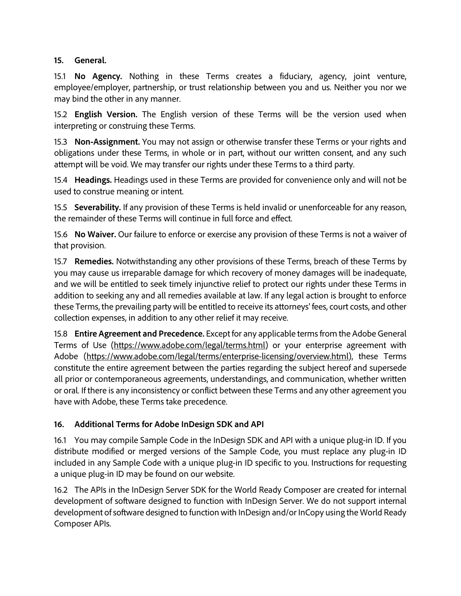#### **15. General.**

15.1 **No Agency.** Nothing in these Terms creates a fiduciary, agency, joint venture, employee/employer, partnership, or trust relationship between you and us. Neither you nor we may bind the other in any manner.

15.2 **English Version.** The English version of these Terms will be the version used when interpreting or construing these Terms.

15.3 **Non-Assignment.** You may not assign or otherwise transfer these Terms or your rights and obligations under these Terms, in whole or in part, without our written consent, and any such attempt will be void. We may transfer our rights under these Terms to a third party.

15.4 **Headings.** Headings used in these Terms are provided for convenience only and will not be used to construe meaning or intent.

15.5 **Severability.** If any provision of these Terms is held invalid or unenforceable for any reason, the remainder of these Terms will continue in full force and effect.

15.6 **No Waiver.** Our failure to enforce or exercise any provision of these Terms is not a waiver of that provision.

15.7 **Remedies.** Notwithstanding any other provisions of these Terms, breach of these Terms by you may cause us irreparable damage for which recovery of money damages will be inadequate, and we will be entitled to seek timely injunctive relief to protect our rights under these Terms in addition to seeking any and all remedies available at law. If any legal action is brought to enforce these Terms, the prevailing party will be entitled to receive its attorneys' fees, court costs, and other collection expenses, in addition to any other relief it may receive.

15.8 **Entire Agreement and Precedence.** Except for any applicable terms from the Adobe General Terms of Use [\(https://www.adobe.com/legal/terms.html\)](https://www.adobe.com/legal/terms.html) or your enterprise agreement with Adobe [\(https://www.adobe.com/legal/terms/enterprise-licensing/overview.html\)](https://www.adobe.com/legal/terms/enterprise-licensing/overview.html), these Terms constitute the entire agreement between the parties regarding the subject hereof and supersede all prior or contemporaneous agreements, understandings, and communication, whether written or oral. If there is any inconsistency or conflict between these Terms and any other agreement you have with Adobe, these Terms take precedence.

### **16. Additional Terms for Adobe InDesign SDK and API**

16.1 You may compile Sample Code in the InDesign SDK and API with a unique plug-in ID. If you distribute modified or merged versions of the Sample Code, you must replace any plug-in ID included in any Sample Code with a unique plug-in ID specific to you. Instructions for requesting a unique plug-in ID may be found on our website.

16.2 The APIs in the InDesign Server SDK for the World Ready Composer are created for internal development of software designed to function with InDesign Server. We do not support internal development of software designed to function with InDesign and/or InCopy using the World Ready Composer APIs.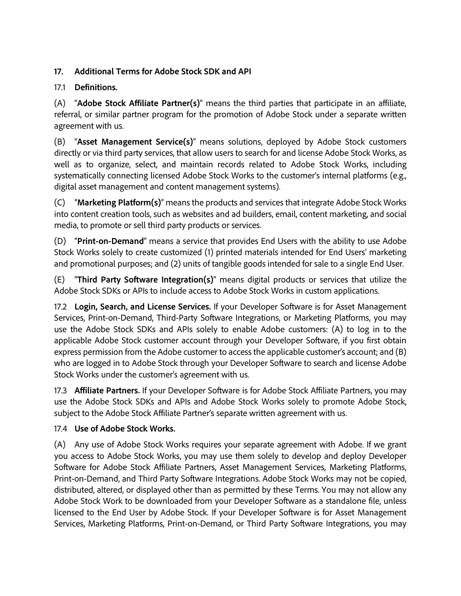## **17. Additional Terms for Adobe Stock SDK and API**

## 17.1 **Definitions.**

(A) "**Adobe Stock Affiliate Partner(s)**" means the third parties that participate in an affiliate, referral, or similar partner program for the promotion of Adobe Stock under a separate written agreement with us.

(B) "**Asset Management Service(s)**" means solutions, deployed by Adobe Stock customers directly or via third party services, that allow users to search for and license Adobe Stock Works, as well as to organize, select, and maintain records related to Adobe Stock Works, including systematically connecting licensed Adobe Stock Works to the customer's internal platforms (e.g., digital asset management and content management systems).

(C) "**Marketing Platform(s)**" means the products and services that integrate Adobe Stock Works into content creation tools, such as websites and ad builders, email, content marketing, and social media, to promote or sell third party products or services.

(D) "**Print-on-Demand**" means a service that provides End Users with the ability to use Adobe Stock Works solely to create customized (1) printed materials intended for End Users' marketing and promotional purposes; and (2) units of tangible goods intended for sale to a single End User.

(E) "**Third Party Software Integration(s)**" means digital products or services that utilize the Adobe Stock SDKs or APIs to include access to Adobe Stock Works in custom applications.

17.2 **Login, Search, and License Services.** If your Developer Software is for Asset Management Services, Print-on-Demand, Third-Party Software Integrations, or Marketing Platforms, you may use the Adobe Stock SDKs and APIs solely to enable Adobe customers: (A) to log in to the applicable Adobe Stock customer account through your Developer Software, if you first obtain express permission from the Adobe customer to access the applicable customer's account; and (B) who are logged in to Adobe Stock through your Developer Software to search and license Adobe Stock Works under the customer's agreement with us.

17.3 **Affiliate Partners.** If your Developer Software is for Adobe Stock Affiliate Partners, you may use the Adobe Stock SDKs and APIs and Adobe Stock Works solely to promote Adobe Stock, subject to the Adobe Stock Affiliate Partner's separate written agreement with us.

## 17.4 **Use of Adobe Stock Works.**

(A) Any use of Adobe Stock Works requires your separate agreement with Adobe. If we grant you access to Adobe Stock Works, you may use them solely to develop and deploy Developer Software for Adobe Stock Affiliate Partners, Asset Management Services, Marketing Platforms, Print-on-Demand, and Third Party Software Integrations. Adobe Stock Works may not be copied, distributed, altered, or displayed other than as permitted by these Terms. You may not allow any Adobe Stock Work to be downloaded from your Developer Software as a standalone file, unless licensed to the End User by Adobe Stock. If your Developer Software is for Asset Management Services, Marketing Platforms, Print-on-Demand, or Third Party Software Integrations, you may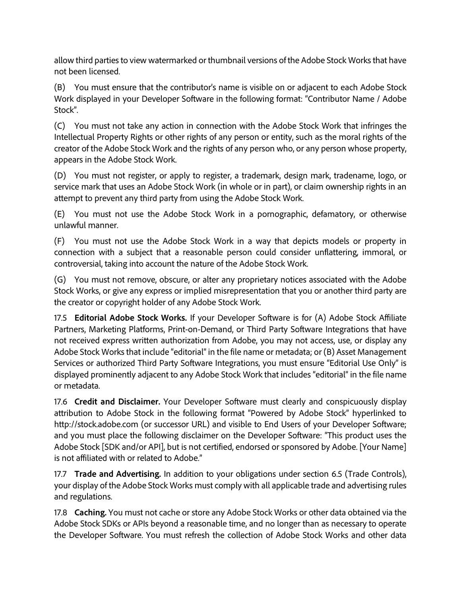allow third parties to view watermarked or thumbnail versions of the Adobe Stock Works that have not been licensed.

(B) You must ensure that the contributor's name is visible on or adjacent to each Adobe Stock Work displayed in your Developer Software in the following format: "Contributor Name / Adobe Stock".

(C) You must not take any action in connection with the Adobe Stock Work that infringes the Intellectual Property Rights or other rights of any person or entity, such as the moral rights of the creator of the Adobe Stock Work and the rights of any person who, or any person whose property, appears in the Adobe Stock Work.

(D) You must not register, or apply to register, a trademark, design mark, tradename, logo, or service mark that uses an Adobe Stock Work (in whole or in part), or claim ownership rights in an attempt to prevent any third party from using the Adobe Stock Work.

(E) You must not use the Adobe Stock Work in a pornographic, defamatory, or otherwise unlawful manner.

(F) You must not use the Adobe Stock Work in a way that depicts models or property in connection with a subject that a reasonable person could consider unflattering, immoral, or controversial, taking into account the nature of the Adobe Stock Work.

(G) You must not remove, obscure, or alter any proprietary notices associated with the Adobe Stock Works, or give any express or implied misrepresentation that you or another third party are the creator or copyright holder of any Adobe Stock Work.

17.5 **Editorial Adobe Stock Works.** If your Developer Software is for (A) Adobe Stock Affiliate Partners, Marketing Platforms, Print-on-Demand, or Third Party Software Integrations that have not received express written authorization from Adobe, you may not access, use, or display any Adobe Stock Works that include "editorial" in the file name or metadata; or (B) Asset Management Services or authorized Third Party Software Integrations, you must ensure "Editorial Use Only" is displayed prominently adjacent to any Adobe Stock Work that includes "editorial" in the file name or metadata.

17.6 **Credit and Disclaimer.** Your Developer Software must clearly and conspicuously display attribution to Adobe Stock in the following format "Powered by Adobe Stock" hyperlinked to http://stock.adobe.com (or successor URL) and visible to End Users of your Developer Software; and you must place the following disclaimer on the Developer Software: "This product uses the Adobe Stock [SDK and/or API], but is not certified, endorsed or sponsored by Adobe. [Your Name] is not affiliated with or related to Adobe."

17.7 **Trade and Advertising.** In addition to your obligations under section 6.5 (Trade Controls), your display of the Adobe Stock Works must comply with all applicable trade and advertising rules and regulations.

17.8 **Caching.** You must not cache or store any Adobe Stock Works or other data obtained via the Adobe Stock SDKs or APIs beyond a reasonable time, and no longer than as necessary to operate the Developer Software. You must refresh the collection of Adobe Stock Works and other data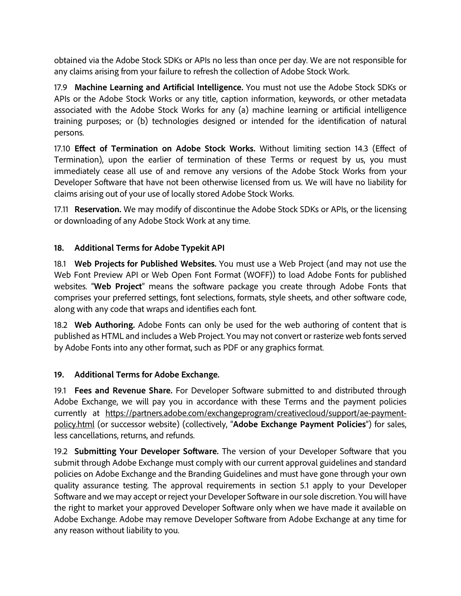obtained via the Adobe Stock SDKs or APIs no less than once per day. We are not responsible for any claims arising from your failure to refresh the collection of Adobe Stock Work.

17.9 **Machine Learning and Artificial Intelligence.** You must not use the Adobe Stock SDKs or APIs or the Adobe Stock Works or any title, caption information, keywords, or other metadata associated with the Adobe Stock Works for any (a) machine learning or artificial intelligence training purposes; or (b) technologies designed or intended for the identification of natural persons.

17.10 **Effect of Termination on Adobe Stock Works.** Without limiting section 14.3 (Effect of Termination), upon the earlier of termination of these Terms or request by us, you must immediately cease all use of and remove any versions of the Adobe Stock Works from your Developer Software that have not been otherwise licensed from us. We will have no liability for claims arising out of your use of locally stored Adobe Stock Works.

17.11 **Reservation.** We may modify of discontinue the Adobe Stock SDKs or APIs, or the licensing or downloading of any Adobe Stock Work at any time.

## **18. Additional Terms for Adobe Typekit API**

18.1 **Web Projects for Published Websites.** You must use a Web Project (and may not use the Web Font Preview API or Web Open Font Format (WOFF)) to load Adobe Fonts for published websites. "**Web Project**" means the software package you create through Adobe Fonts that comprises your preferred settings, font selections, formats, style sheets, and other software code, along with any code that wraps and identifies each font.

18.2 **Web Authoring.** Adobe Fonts can only be used for the web authoring of content that is published as HTML and includes a Web Project. You may not convert or rasterize web fonts served by Adobe Fonts into any other format, such as PDF or any graphics format.

## **19. Additional Terms for Adobe Exchange.**

19.1 **Fees and Revenue Share.** For Developer Software submitted to and distributed through Adobe Exchange, we will pay you in accordance with these Terms and the payment policies currently at [https://partners.adobe.com/exchangeprogram/creativecloud/support/ae-payment](https://partners.adobe.com/exchangeprogram/creativecloud/support/ae-payment-policy.html)[policy.html](https://partners.adobe.com/exchangeprogram/creativecloud/support/ae-payment-policy.html) (or successor website) (collectively, "**Adobe Exchange Payment Policies**") for sales, less cancellations, returns, and refunds.

19.2 **Submitting Your Developer Software.** The version of your Developer Software that you submit through Adobe Exchange must comply with our current approval guidelines and standard policies on Adobe Exchange and the Branding Guidelines and must have gone through your own quality assurance testing. The approval requirements in section 5.1 apply to your Developer Software and we may accept or reject your Developer Software in our sole discretion. You will have the right to market your approved Developer Software only when we have made it available on Adobe Exchange. Adobe may remove Developer Software from Adobe Exchange at any time for any reason without liability to you.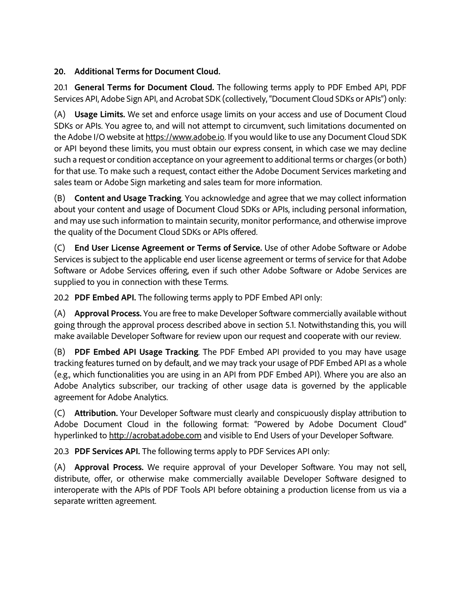## **20. Additional Terms for Document Cloud.**

20.1 **General Terms for Document Cloud.** The following terms apply to PDF Embed API, PDF Services API, Adobe Sign API, and Acrobat SDK (collectively, "Document Cloud SDKs or APIs") only:

(A) **Usage Limits.** We set and enforce usage limits on your access and use of Document Cloud SDKs or APIs. You agree to, and will not attempt to circumvent, such limitations documented on the Adobe I/O website at [https://www.adobe.io.](https://www.adobe.io/) If you would like to use any Document Cloud SDK or API beyond these limits, you must obtain our express consent, in which case we may decline such a request or condition acceptance on your agreement to additional terms or charges (or both) for that use. To make such a request, contact either the Adobe Document Services marketing and sales team or Adobe Sign marketing and sales team for more information.

(B) **Content and Usage Tracking**. You acknowledge and agree that we may collect information about your content and usage of Document Cloud SDKs or APIs, including personal information, and may use such information to maintain security, monitor performance, and otherwise improve the quality of the Document Cloud SDKs or APIs offered.

(C) **End User License Agreement or Terms of Service.** Use of other Adobe Software or Adobe Services is subject to the applicable end user license agreement or terms of service for that Adobe Software or Adobe Services offering, even if such other Adobe Software or Adobe Services are supplied to you in connection with these Terms.

20.2 **PDF Embed API.** The following terms apply to PDF Embed API only:

(A) **Approval Process.** You are free to make Developer Software commercially available without going through the approval process described above in section 5.1. Notwithstanding this, you will make available Developer Software for review upon our request and cooperate with our review.

(B) **PDF Embed API Usage Tracking**. The PDF Embed API provided to you may have usage tracking features turned on by default, and we may track your usage of PDF Embed API as a whole (e.g., which functionalities you are using in an API from PDF Embed API). Where you are also an Adobe Analytics subscriber, our tracking of other usage data is governed by the applicable agreement for Adobe Analytics.

(C) **Attribution.** Your Developer Software must clearly and conspicuously display attribution to Adobe Document Cloud in the following format: "Powered by Adobe Document Cloud" hyperlinked to [http://acrobat.adobe.com](http://acrobat.adobe.com/) and visible to End Users of your Developer Software.

20.3 **PDF Services API.** The following terms apply to PDF Services API only:

(A) **Approval Process.** We require approval of your Developer Software. You may not sell, distribute, offer, or otherwise make commercially available Developer Software designed to interoperate with the APIs of PDF Tools API before obtaining a production license from us via a separate written agreement.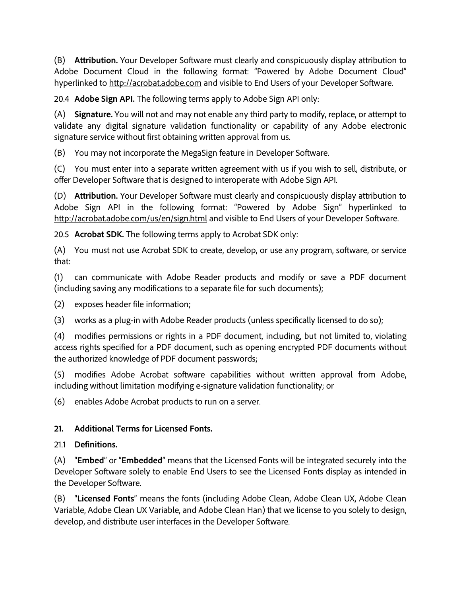(B) **Attribution.** Your Developer Software must clearly and conspicuously display attribution to Adobe Document Cloud in the following format: "Powered by Adobe Document Cloud" hyperlinked to [http://acrobat.adobe.com](http://acrobat.adobe.com/) and visible to End Users of your Developer Software.

20.4 **Adobe Sign API.** The following terms apply to Adobe Sign API only:

(A) **Signature.** You will not and may not enable any third party to modify, replace, or attempt to validate any digital signature validation functionality or capability of any Adobe electronic signature service without first obtaining written approval from us.

(B) You may not incorporate the MegaSign feature in Developer Software.

(C) You must enter into a separate written agreement with us if you wish to sell, distribute, or offer Developer Software that is designed to interoperate with Adobe Sign API.

(D) **Attribution.** Your Developer Software must clearly and conspicuously display attribution to Adobe Sign API in the following format: "Powered by Adobe Sign" hyperlinked to <http://acrobat.adobe.com/us/en/sign.html> and visible to End Users of your Developer Software.

20.5 **Acrobat SDK.** The following terms apply to Acrobat SDK only:

(A) You must not use Acrobat SDK to create, develop, or use any program, software, or service that:

(1) can communicate with Adobe Reader products and modify or save a PDF document (including saving any modifications to a separate file for such documents);

(2) exposes header file information;

(3) works as a plug-in with Adobe Reader products (unless specifically licensed to do so);

(4) modifies permissions or rights in a PDF document, including, but not limited to, violating access rights specified for a PDF document, such as opening encrypted PDF documents without the authorized knowledge of PDF document passwords;

(5) modifies Adobe Acrobat software capabilities without written approval from Adobe, including without limitation modifying e-signature validation functionality; or

(6) enables Adobe Acrobat products to run on a server.

## **21. Additional Terms for Licensed Fonts.**

## 21.1 **Definitions.**

(A) "**Embed**" or "**Embedded**" means that the Licensed Fonts will be integrated securely into the Developer Software solely to enable End Users to see the Licensed Fonts display as intended in the Developer Software.

(B) "**Licensed Fonts**" means the fonts (including Adobe Clean, Adobe Clean UX, Adobe Clean Variable, Adobe Clean UX Variable, and Adobe Clean Han) that we license to you solely to design, develop, and distribute user interfaces in the Developer Software.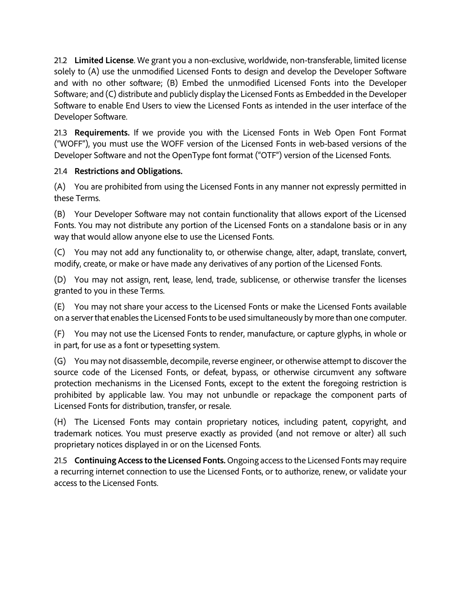21.2 **Limited License**. We grant you a non-exclusive, worldwide, non-transferable, limited license solely to (A) use the unmodified Licensed Fonts to design and develop the Developer Software and with no other software; (B) Embed the unmodified Licensed Fonts into the Developer Software; and (C) distribute and publicly display the Licensed Fonts as Embedded in the Developer Software to enable End Users to view the Licensed Fonts as intended in the user interface of the Developer Software.

21.3 **Requirements.** If we provide you with the Licensed Fonts in Web Open Font Format ("WOFF"), you must use the WOFF version of the Licensed Fonts in web-based versions of the Developer Software and not the OpenType font format ("OTF") version of the Licensed Fonts.

### 21.4 **Restrictions and Obligations.**

(A) You are prohibited from using the Licensed Fonts in any manner not expressly permitted in these Terms.

(B) Your Developer Software may not contain functionality that allows export of the Licensed Fonts. You may not distribute any portion of the Licensed Fonts on a standalone basis or in any way that would allow anyone else to use the Licensed Fonts.

(C) You may not add any functionality to, or otherwise change, alter, adapt, translate, convert, modify, create, or make or have made any derivatives of any portion of the Licensed Fonts.

(D) You may not assign, rent, lease, lend, trade, sublicense, or otherwise transfer the licenses granted to you in these Terms.

(E) You may not share your access to the Licensed Fonts or make the Licensed Fonts available on a server that enables the Licensed Fonts to be used simultaneously by more than one computer.

(F) You may not use the Licensed Fonts to render, manufacture, or capture glyphs, in whole or in part, for use as a font or typesetting system.

(G) You may not disassemble, decompile, reverse engineer, or otherwise attempt to discover the source code of the Licensed Fonts, or defeat, bypass, or otherwise circumvent any software protection mechanisms in the Licensed Fonts, except to the extent the foregoing restriction is prohibited by applicable law. You may not unbundle or repackage the component parts of Licensed Fonts for distribution, transfer, or resale.

(H) The Licensed Fonts may contain proprietary notices, including patent, copyright, and trademark notices. You must preserve exactly as provided (and not remove or alter) all such proprietary notices displayed in or on the Licensed Fonts.

21.5 **Continuing Access to the Licensed Fonts.** Ongoing access to the Licensed Fonts may require a recurring internet connection to use the Licensed Fonts, or to authorize, renew, or validate your access to the Licensed Fonts.